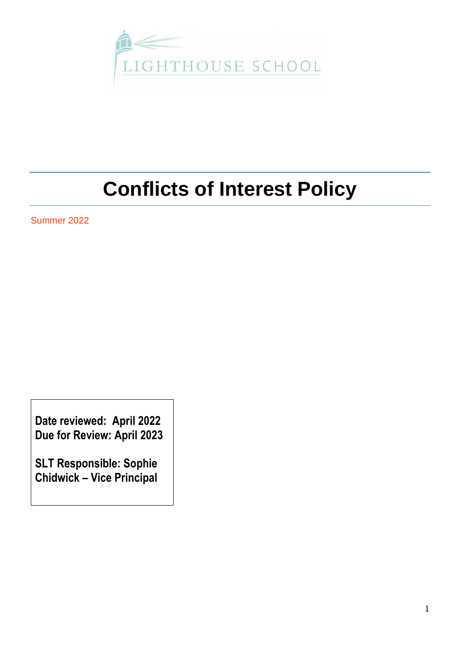

# **Conflicts of Interest Policy**

Summer 2022

**Date reviewed: April 2022 Due for Review: April 2023**

**SLT Responsible: Sophie Chidwick – Vice Principal**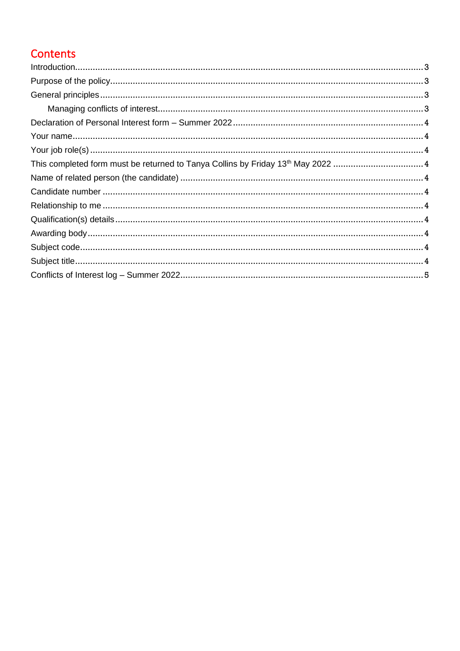# Contents

| This completed form must be returned to Tanya Collins by Friday 13 <sup>th</sup> May 2022  4 |  |
|----------------------------------------------------------------------------------------------|--|
|                                                                                              |  |
|                                                                                              |  |
|                                                                                              |  |
|                                                                                              |  |
|                                                                                              |  |
|                                                                                              |  |
|                                                                                              |  |
|                                                                                              |  |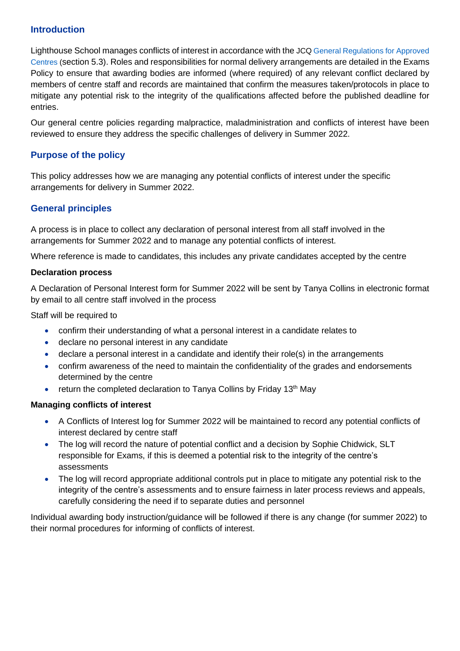#### <span id="page-2-0"></span>**Introduction**

Lighthouse School manages conflicts of interest in accordance with the JC[Q General Regulations for Approved](https://www.jcq.org.uk/exams-office/general-regulations/)  [Centres](https://www.jcq.org.uk/exams-office/general-regulations/) (section 5.3). Roles and responsibilities for normal delivery arrangements are detailed in the Exams Policy to ensure that awarding bodies are informed (where required) of any relevant conflict declared by members of centre staff and records are maintained that confirm the measures taken/protocols in place to mitigate any potential risk to the integrity of the qualifications affected before the published deadline for entries.

Our general centre policies regarding malpractice, maladministration and conflicts of interest have been reviewed to ensure they address the specific challenges of delivery in Summer 2022.

### <span id="page-2-1"></span>**Purpose of the policy**

This policy addresses how we are managing any potential conflicts of interest under the specific arrangements for delivery in Summer 2022.

#### <span id="page-2-2"></span>**General principles**

A process is in place to collect any declaration of personal interest from all staff involved in the arrangements for Summer 2022 and to manage any potential conflicts of interest.

Where reference is made to candidates, this includes any private candidates accepted by the centre

#### **Declaration process**

A Declaration of Personal Interest form for Summer 2022 will be sent by Tanya Collins in electronic format by email to all centre staff involved in the process

Staff will be required to

- confirm their understanding of what a personal interest in a candidate relates to
- declare no personal interest in any candidate
- declare a personal interest in a candidate and identify their role(s) in the arrangements
- confirm awareness of the need to maintain the confidentiality of the grades and endorsements determined by the centre
- return the completed declaration to Tanya Collins by Friday 13<sup>th</sup> May

#### <span id="page-2-3"></span>**Managing conflicts of interest**

- A Conflicts of Interest log for Summer 2022 will be maintained to record any potential conflicts of interest declared by centre staff
- The log will record the nature of potential conflict and a decision by Sophie Chidwick, SLT responsible for Exams, if this is deemed a potential risk to the integrity of the centre's assessments
- The log will record appropriate additional controls put in place to mitigate any potential risk to the integrity of the centre's assessments and to ensure fairness in later process reviews and appeals, carefully considering the need if to separate duties and personnel

Individual awarding body instruction/guidance will be followed if there is any change (for summer 2022) to their normal procedures for informing of conflicts of interest.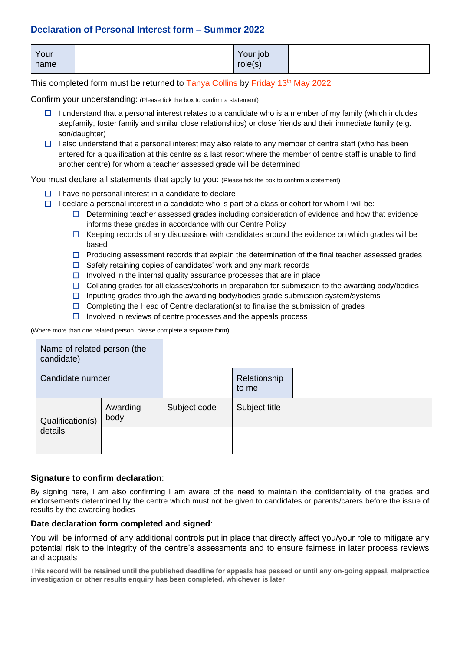#### <span id="page-3-0"></span>**Declaration of Personal Interest form – Summer 2022**

<span id="page-3-1"></span>

| Your<br>name | Your job |
|--------------|----------|
|              | role(s)  |

<span id="page-3-3"></span>This completed form must be returned to Tanya Collins by Friday 13<sup>th</sup> May 2022

Confirm your understanding: (Please tick the box to confirm a statement)

- <span id="page-3-2"></span> $\Box$  I understand that a personal interest relates to a candidate who is a member of my family (which includes stepfamily, foster family and similar close relationships) or close friends and their immediate family (e.g. son/daughter)
- $\Box$  I also understand that a personal interest may also relate to any member of centre staff (who has been entered for a qualification at this centre as a last resort where the member of centre staff is unable to find another centre) for whom a teacher assessed grade will be determined

You must declare all statements that apply to you: (Please tick the box to confirm a statement)

- $\Box$  I have no personal interest in a candidate to declare
- $\Box$  I declare a personal interest in a candidate who is part of a class or cohort for whom I will be:
	- $\Box$  Determining teacher assessed grades including consideration of evidence and how that evidence informs these grades in accordance with our Centre Policy
	- $\Box$  Keeping records of any discussions with candidates around the evidence on which grades will be based
	- $\Box$  Producing assessment records that explain the determination of the final teacher assessed grades
	- $\Box$  Safely retaining copies of candidates' work and any mark records
	- $\Box$  Involved in the internal quality assurance processes that are in place
	- $\Box$  Collating grades for all classes/cohorts in preparation for submission to the awarding body/bodies
	- $\Box$  Inputting grades through the awarding body/bodies grade submission system/systems
	- $\Box$  Completing the Head of Centre declaration(s) to finalise the submission of grades
	- $\Box$  Involved in reviews of centre processes and the appeals process

(Where more than one related person, please complete a separate form)

<span id="page-3-10"></span><span id="page-3-9"></span><span id="page-3-8"></span><span id="page-3-6"></span><span id="page-3-5"></span><span id="page-3-4"></span>

| Name of related person (the<br>candidate) |                  |              |                       |  |
|-------------------------------------------|------------------|--------------|-----------------------|--|
| Candidate number                          |                  |              | Relationship<br>to me |  |
| Qualification(s)                          | Awarding<br>body | Subject code | Subject title         |  |
| details                                   |                  |              |                       |  |

#### <span id="page-3-7"></span>**Signature to confirm declaration**:

By signing here, I am also confirming I am aware of the need to maintain the confidentiality of the grades and endorsements determined by the centre which must not be given to candidates or parents/carers before the issue of results by the awarding bodies

#### **Date declaration form completed and signed**:

You will be informed of any additional controls put in place that directly affect you/your role to mitigate any potential risk to the integrity of the centre's assessments and to ensure fairness in later process reviews and appeals

**This record will be retained until the published deadline for appeals has passed or until any on-going appeal, malpractice investigation or other results enquiry has been completed, whichever is later**